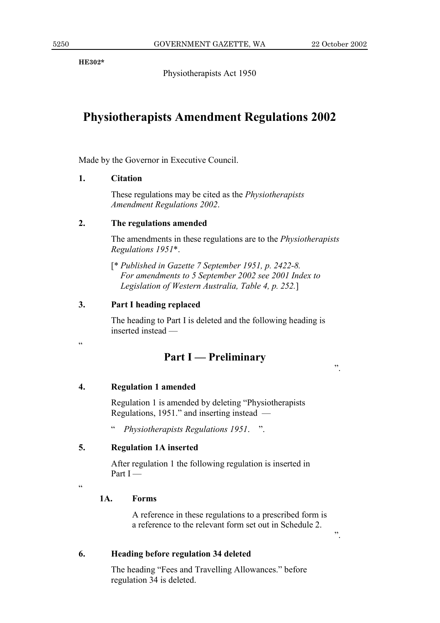$\ddot{\phantom{0}}$ 

 $,$ 

**HE302\*** 

Physiotherapists Act 1950

# **Physiotherapists Amendment Regulations 2002**

Made by the Governor in Executive Council.

#### 1. **Citation**

These regulations may be cited as the *Physiotherapists* **Amendment Regulations 2002.** 

#### $2.$ The regulations amended

The amendments in these regulations are to the *Physiotherapists* Regulations 1951\*.

[\* Published in Gazette 7 September 1951, p. 2422-8.] For amendments to 5 September 2002 see 2001 Index to Legislation of Western Australia, Table 4, p. 252.]

#### $3.$ Part I heading replaced

The heading to Part I is deleted and the following heading is inserted instead -

 $\epsilon$ 

## **Part I** — Preliminary

#### $\overline{4}$ . **Regulation 1 amended**

Regulation 1 is amended by deleting "Physiotherapists" Regulations, 1951." and inserting instead —

Physiotherapists Regulations 1951. ".

#### $\overline{5}$ . **Regulation 1A inserted**

After regulation 1 the following regulation is inserted in Part  $I$  —

 $\epsilon$ 

#### $1A.$ **Forms**

A reference in these regulations to a prescribed form is a reference to the relevant form set out in Schedule 2.

6. Heading before regulation 34 deleted

> The heading "Fees and Travelling Allowances." before regulation 34 is deleted.